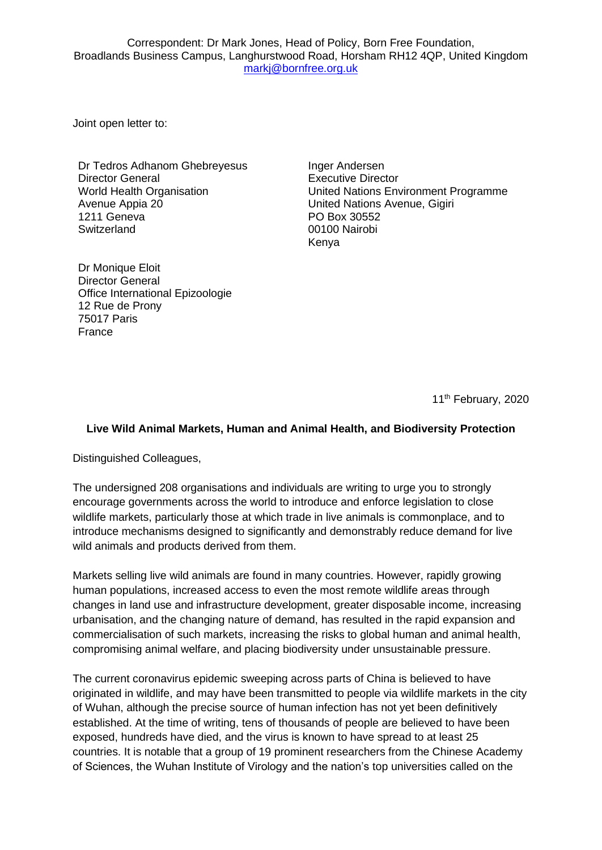Correspondent: Dr Mark Jones, Head of Policy, Born Free Foundation, Broadlands Business Campus, Langhurstwood Road, Horsham RH12 4QP, United Kingdom [markj@bornfree.org.uk](mailto:markj@bornfree.org.uk)

Joint open letter to:

Dr Tedros Adhanom Ghebreyesus Director General World Health Organisation Avenue Appia 20 1211 Geneva **Switzerland** 

Inger Andersen Executive Director United Nations Environment Programme United Nations Avenue, Gigiri PO Box 30552 00100 Nairobi Kenya

Dr Monique Eloit Director General Office International Epizoologie 12 Rue de Prony 75017 Paris France

11<sup>th</sup> February, 2020

## **Live Wild Animal Markets, Human and Animal Health, and Biodiversity Protection**

Distinguished Colleagues,

The undersigned 208 organisations and individuals are writing to urge you to strongly encourage governments across the world to introduce and enforce legislation to close wildlife markets, particularly those at which trade in live animals is commonplace, and to introduce mechanisms designed to significantly and demonstrably reduce demand for live wild animals and products derived from them.

Markets selling live wild animals are found in many countries. However, rapidly growing human populations, increased access to even the most remote wildlife areas through changes in land use and infrastructure development, greater disposable income, increasing urbanisation, and the changing nature of demand, has resulted in the rapid expansion and commercialisation of such markets, increasing the risks to global human and animal health, compromising animal welfare, and placing biodiversity under unsustainable pressure.

The current coronavirus epidemic sweeping across parts of China is believed to have originated in wildlife, and may have been transmitted to people via wildlife markets in the city of Wuhan, although the precise source of human infection has not yet been definitively established. At the time of writing, tens of thousands of people are believed to have been exposed, hundreds have died, and the virus is known to have spread to at least 25 countries. It is notable that a group of 19 prominent researchers from the Chinese Academy of Sciences, the Wuhan Institute of Virology and the nation's top universities called on the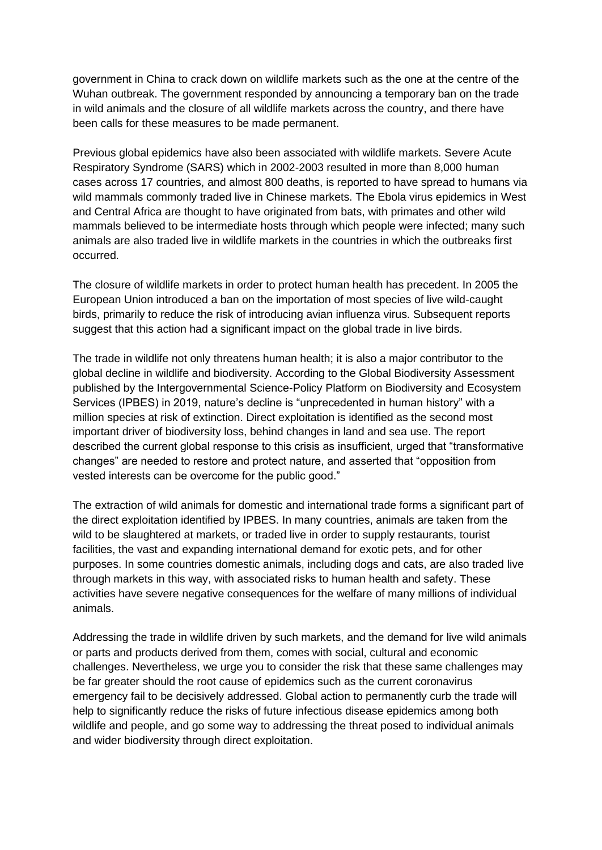government in China to crack down on wildlife markets such as the one at the centre of the Wuhan outbreak. The government responded by announcing a temporary ban on the trade in wild animals and the closure of all wildlife markets across the country, and there have been calls for these measures to be made permanent.

Previous global epidemics have also been associated with wildlife markets. Severe Acute Respiratory Syndrome (SARS) which in 2002-2003 resulted in more than 8,000 human cases across 17 countries, and almost 800 deaths, is reported to have spread to humans via wild mammals commonly traded live in Chinese markets. The Ebola virus epidemics in West and Central Africa are thought to have originated from bats, with primates and other wild mammals believed to be intermediate hosts through which people were infected; many such animals are also traded live in wildlife markets in the countries in which the outbreaks first occurred.

The closure of wildlife markets in order to protect human health has precedent. In 2005 the European Union introduced a ban on the importation of most species of live wild-caught birds, primarily to reduce the risk of introducing avian influenza virus. Subsequent reports suggest that this action had a significant impact on the global trade in live birds.

The trade in wildlife not only threatens human health; it is also a major contributor to the global decline in wildlife and biodiversity. According to the Global Biodiversity Assessment published by the Intergovernmental Science-Policy Platform on Biodiversity and Ecosystem Services (IPBES) in 2019, nature's decline is "unprecedented in human history" with a million species at risk of extinction. Direct exploitation is identified as the second most important driver of biodiversity loss, behind changes in land and sea use. The report described the current global response to this crisis as insufficient, urged that "transformative changes" are needed to restore and protect nature, and asserted that "opposition from vested interests can be overcome for the public good."

The extraction of wild animals for domestic and international trade forms a significant part of the direct exploitation identified by IPBES. In many countries, animals are taken from the wild to be slaughtered at markets, or traded live in order to supply restaurants, tourist facilities, the vast and expanding international demand for exotic pets, and for other purposes. In some countries domestic animals, including dogs and cats, are also traded live through markets in this way, with associated risks to human health and safety. These activities have severe negative consequences for the welfare of many millions of individual animals.

Addressing the trade in wildlife driven by such markets, and the demand for live wild animals or parts and products derived from them, comes with social, cultural and economic challenges. Nevertheless, we urge you to consider the risk that these same challenges may be far greater should the root cause of epidemics such as the current coronavirus emergency fail to be decisively addressed. Global action to permanently curb the trade will help to significantly reduce the risks of future infectious disease epidemics among both wildlife and people, and go some way to addressing the threat posed to individual animals and wider biodiversity through direct exploitation.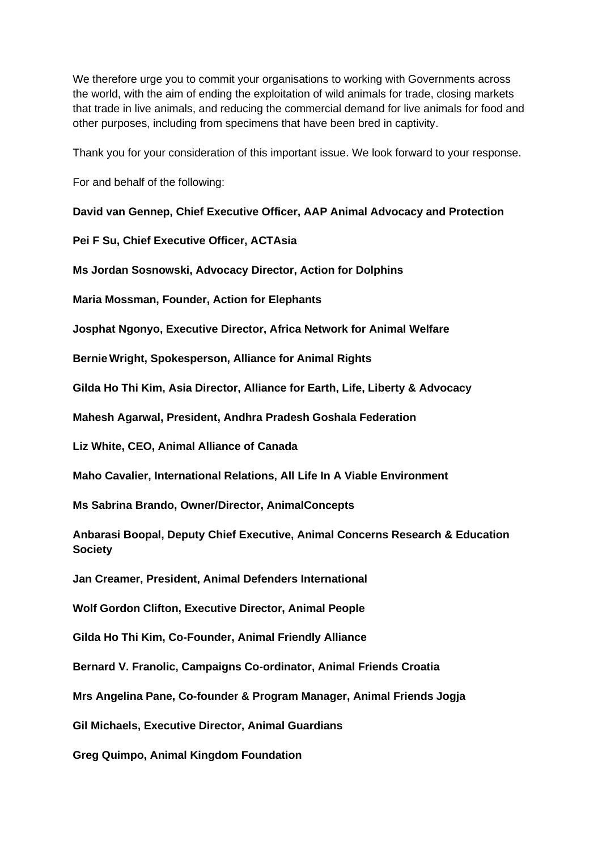We therefore urge you to commit your organisations to working with Governments across the world, with the aim of ending the exploitation of wild animals for trade, closing markets that trade in live animals, and reducing the commercial demand for live animals for food and other purposes, including from specimens that have been bred in captivity.

Thank you for your consideration of this important issue. We look forward to your response.

For and behalf of the following:

**David van Gennep, Chief Executive Officer, AAP Animal Advocacy and Protection**

**Pei F Su, Chief Executive Officer, ACTAsia**

**Ms Jordan Sosnowski, Advocacy Director, Action for Dolphins**

**Maria Mossman, Founder, Action for Elephants**

**Josphat Ngonyo, Executive Director, Africa Network for Animal Welfare**

**BernieWright, Spokesperson, Alliance for Animal Rights**

**Gilda Ho Thi Kim, Asia Director, Alliance for Earth, Life, Liberty & Advocacy** 

**Mahesh Agarwal, President, Andhra Pradesh Goshala Federation**

**Liz White, CEO, Animal Alliance of Canada**

**Maho Cavalier, International Relations, All Life In A Viable Environment**

**Ms Sabrina Brando, Owner/Director, AnimalConcepts**

**Anbarasi Boopal, Deputy Chief Executive, Animal Concerns Research & Education Society**

**Jan Creamer, President, Animal Defenders International**

**Wolf Gordon Clifton, Executive Director, Animal People**

**Gilda Ho Thi Kim, Co-Founder, Animal Friendly Alliance**

**Bernard V. Franolic, Campaigns Co-ordinator, Animal Friends Croatia**

**Mrs Angelina Pane, Co-founder & Program Manager, Animal Friends Jogja**

**Gil Michaels, Executive Director, Animal Guardians**

**Greg Quimpo, Animal Kingdom Foundation**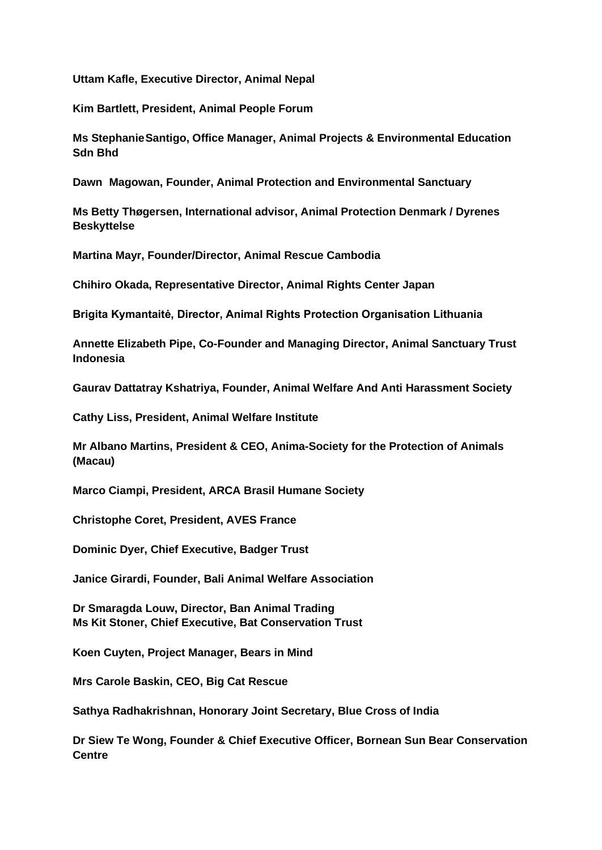**Uttam Kafle, Executive Director, Animal Nepal**

**Kim Bartlett, President, Animal People Forum**

**Ms StephanieSantigo, Office Manager, Animal Projects & Environmental Education Sdn Bhd**

**Dawn Magowan, Founder, Animal Protection and Environmental Sanctuary**

**Ms Betty Thøgersen, International advisor, Animal Protection Denmark / Dyrenes Beskyttelse**

**Martina Mayr, Founder/Director, Animal Rescue Cambodia**

**Chihiro Okada, Representative Director, Animal Rights Center Japan**

**Brigita Kymantaitė, Director, Animal Rights Protection Organisation Lithuania**

**Annette Elizabeth Pipe, Co-Founder and Managing Director, Animal Sanctuary Trust Indonesia**

**Gaurav Dattatray Kshatriya, Founder, Animal Welfare And Anti Harassment Society**

**Cathy Liss, President, Animal Welfare Institute**

**Mr Albano Martins, President & CEO, Anima-Society for the Protection of Animals (Macau)**

**Marco Ciampi, President, ARCA Brasil Humane Society**

**Christophe Coret, President, AVES France**

**Dominic Dyer, Chief Executive, Badger Trust**

**Janice Girardi, Founder, Bali Animal Welfare Association**

**Dr Smaragda Louw, Director, Ban Animal Trading Ms Kit Stoner, Chief Executive, Bat Conservation Trust**

**Koen Cuyten, Project Manager, Bears in Mind**

**Mrs Carole Baskin, CEO, Big Cat Rescue**

**Sathya Radhakrishnan, Honorary Joint Secretary, Blue Cross of India**

**Dr Siew Te Wong, Founder & Chief Executive Officer, Bornean Sun Bear Conservation Centre**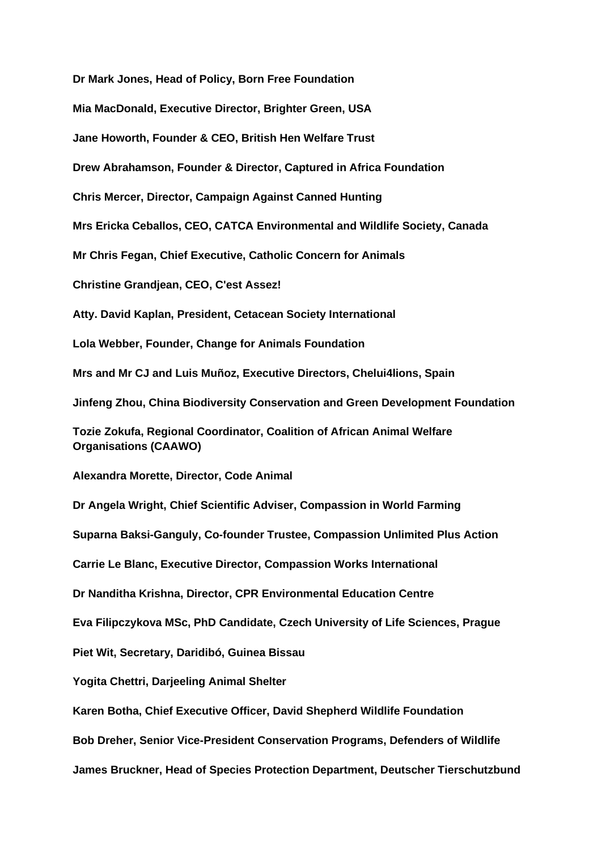**Dr Mark Jones, Head of Policy, Born Free Foundation Mia MacDonald, Executive Director, Brighter Green, USA Jane Howorth, Founder & CEO, British Hen Welfare Trust Drew Abrahamson, Founder & Director, Captured in Africa Foundation Chris Mercer, Director, Campaign Against Canned Hunting Mrs Ericka Ceballos, CEO, CATCA Environmental and Wildlife Society, Canada Mr Chris Fegan, Chief Executive, Catholic Concern for Animals Christine Grandjean, CEO, C'est Assez! Atty. David Kaplan, President, Cetacean Society International Lola Webber, Founder, Change for Animals Foundation Mrs and Mr CJ and Luis Muñoz, Executive Directors, Chelui4lions, Spain Jinfeng Zhou, China Biodiversity Conservation and Green Development Foundation Tozie Zokufa, Regional Coordinator, Coalition of African Animal Welfare Organisations (CAAWO) Alexandra Morette, Director, Code Animal Dr Angela Wright, Chief Scientific Adviser, Compassion in World Farming Suparna Baksi-Ganguly, Co-founder Trustee, Compassion Unlimited Plus Action Carrie Le Blanc, Executive Director, Compassion Works International Dr Nanditha Krishna, Director, CPR Environmental Education Centre Eva Filipczykova MSc, PhD Candidate, Czech University of Life Sciences, Prague Piet Wit, Secretary, Daridibó, Guinea Bissau Yogita Chettri, Darjeeling Animal Shelter Karen Botha, Chief Executive Officer, David Shepherd Wildlife Foundation Bob Dreher, Senior Vice-President Conservation Programs, Defenders of Wildlife James Bruckner, Head of Species Protection Department, Deutscher Tierschutzbund**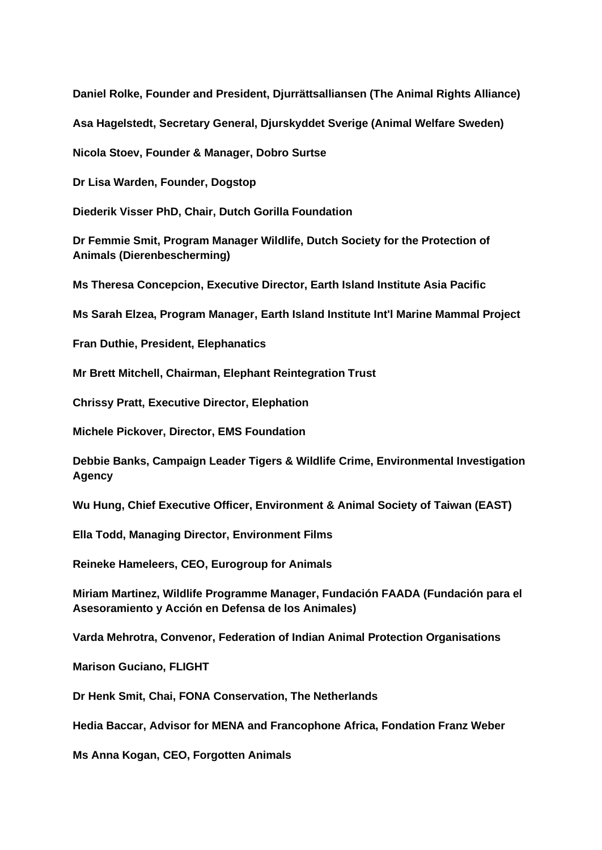**Daniel Rolke, Founder and President, Djurrättsalliansen (The Animal Rights Alliance)**

**Asa Hagelstedt, Secretary General, Djurskyddet Sverige (Animal Welfare Sweden)**

**Nicola Stoev, Founder & Manager, Dobro Surtse**

**Dr Lisa Warden, Founder, Dogstop**

**Diederik Visser PhD, Chair, Dutch Gorilla Foundation**

**Dr Femmie Smit, Program Manager Wildlife, Dutch Society for the Protection of Animals (Dierenbescherming)**

**Ms Theresa Concepcion, Executive Director, Earth Island Institute Asia Pacific**

**Ms Sarah Elzea, Program Manager, Earth Island Institute Int'l Marine Mammal Project**

**Fran Duthie, President, Elephanatics**

**Mr Brett Mitchell, Chairman, Elephant Reintegration Trust**

**Chrissy Pratt, Executive Director, Elephation**

**Michele Pickover, Director, EMS Foundation**

**Debbie Banks, Campaign Leader Tigers & Wildlife Crime, Environmental Investigation Agency**

**Wu Hung, Chief Executive Officer, Environment & Animal Society of Taiwan (EAST)**

**Ella Todd, Managing Director, Environment Films**

**Reineke Hameleers, CEO, Eurogroup for Animals**

**Miriam Martinez, Wildlife Programme Manager, Fundación FAADA (Fundación para el Asesoramiento y Acción en Defensa de los Animales)**

**Varda Mehrotra, Convenor, Federation of Indian Animal Protection Organisations**

**Marison Guciano, FLIGHT**

**Dr Henk Smit, Chai, FONA Conservation, The Netherlands**

**Hedia Baccar, Advisor for MENA and Francophone Africa, Fondation Franz Weber**

**Ms Anna Kogan, CEO, Forgotten Animals**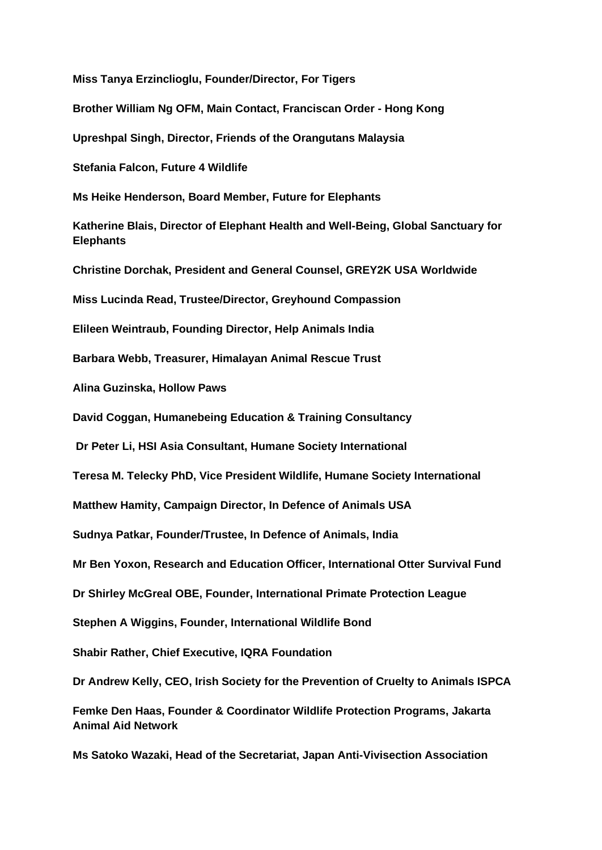**Miss Tanya Erzinclioglu, Founder/Director, For Tigers Brother William Ng OFM, Main Contact, Franciscan Order - Hong Kong Upreshpal Singh, Director, Friends of the Orangutans Malaysia Stefania Falcon, Future 4 Wildlife Ms Heike Henderson, Board Member, Future for Elephants Katherine Blais, Director of Elephant Health and Well-Being, Global Sanctuary for Elephants Christine Dorchak, President and General Counsel, GREY2K USA Worldwide Miss Lucinda Read, Trustee/Director, Greyhound Compassion Elileen Weintraub, Founding Director, Help Animals India Barbara Webb, Treasurer, Himalayan Animal Rescue Trust Alina Guzinska, Hollow Paws David Coggan, Humanebeing Education & Training Consultancy Dr Peter Li, HSI Asia Consultant, Humane Society International Teresa M. Telecky PhD, Vice President Wildlife, Humane Society International Matthew Hamity, Campaign Director, In Defence of Animals USA Sudnya Patkar, Founder/Trustee, In Defence of Animals, India Mr Ben Yoxon, Research and Education Officer, International Otter Survival Fund Dr Shirley McGreal OBE, Founder, International Primate Protection League Stephen A Wiggins, Founder, International Wildlife Bond Shabir Rather, Chief Executive, IQRA Foundation Dr Andrew Kelly, CEO, Irish Society for the Prevention of Cruelty to Animals ISPCA Femke Den Haas, Founder & Coordinator Wildlife Protection Programs, Jakarta Animal Aid Network Ms Satoko Wazaki, Head of the Secretariat, Japan Anti-Vivisection Association**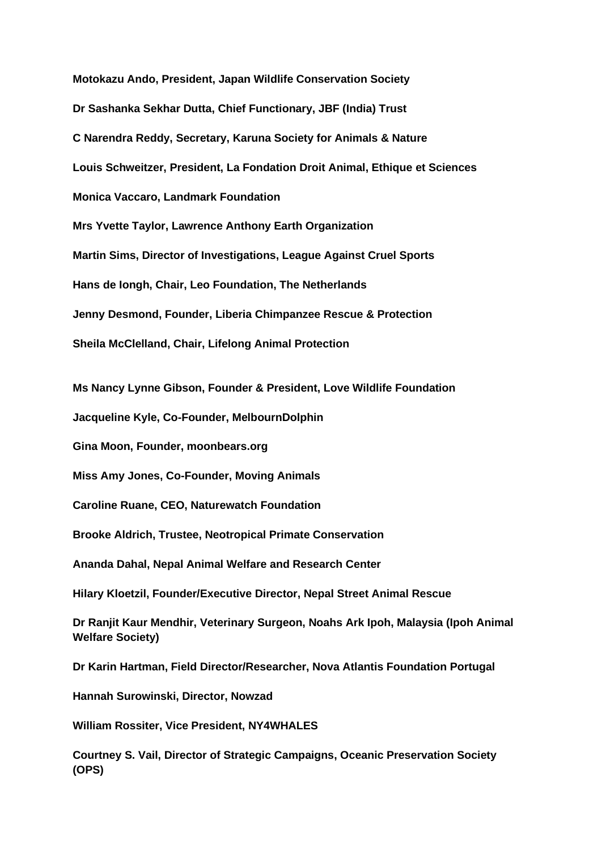**Motokazu Ando, President, Japan Wildlife Conservation Society Dr Sashanka Sekhar Dutta, Chief Functionary, JBF (India) Trust C Narendra Reddy, Secretary, Karuna Society for Animals & Nature Louis Schweitzer, President, La Fondation Droit Animal, Ethique et Sciences Monica Vaccaro, Landmark Foundation Mrs Yvette Taylor, Lawrence Anthony Earth Organization Martin Sims, Director of Investigations, League Against Cruel Sports Hans de Iongh, Chair, Leo Foundation, The Netherlands Jenny Desmond, Founder, Liberia Chimpanzee Rescue & Protection Sheila McClelland, Chair, Lifelong Animal Protection**

**Ms Nancy Lynne Gibson, Founder & President, Love Wildlife Foundation**

**Jacqueline Kyle, Co-Founder, MelbournDolphin** 

**Gina Moon, Founder, moonbears.org**

**Miss Amy Jones, Co-Founder, Moving Animals**

**Caroline Ruane, CEO, Naturewatch Foundation**

**Brooke Aldrich, Trustee, Neotropical Primate Conservation**

**Ananda Dahal, Nepal Animal Welfare and Research Center**

**Hilary Kloetzil, Founder/Executive Director, Nepal Street Animal Rescue**

**Dr Ranjit Kaur Mendhir, Veterinary Surgeon, Noahs Ark Ipoh, Malaysia (Ipoh Animal Welfare Society)**

**Dr Karin Hartman, Field Director/Researcher, Nova Atlantis Foundation Portugal**

**Hannah Surowinski, Director, Nowzad**

**William Rossiter, Vice President, NY4WHALES**

**Courtney S. Vail, Director of Strategic Campaigns, Oceanic Preservation Society (OPS)**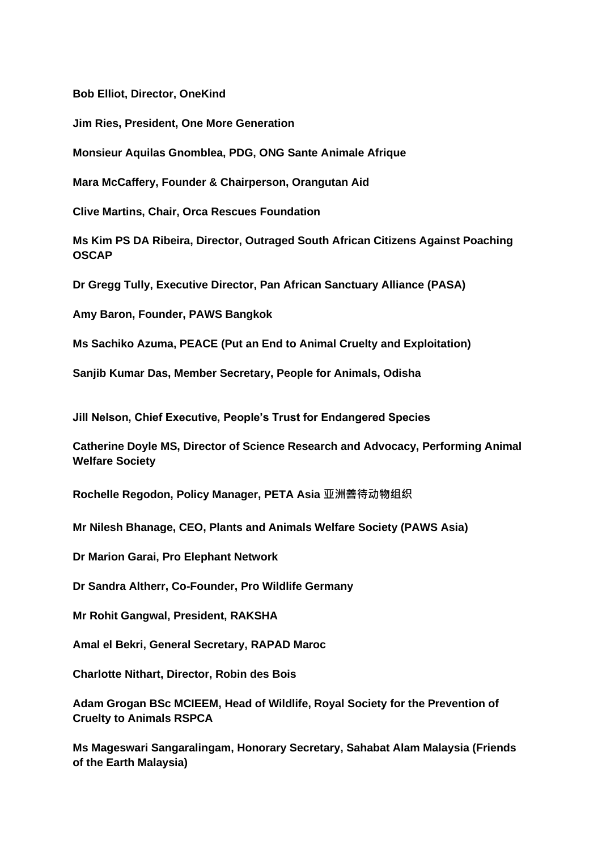**Bob Elliot, Director, OneKind**

**Jim Ries, President, One More Generation**

**Monsieur Aquilas Gnomblea, PDG, ONG Sante Animale Afrique**

**Mara McCaffery, Founder & Chairperson, Orangutan Aid**

**Clive Martins, Chair, Orca Rescues Foundation**

**Ms Kim PS DA Ribeira, Director, Outraged South African Citizens Against Poaching OSCAP** 

**Dr Gregg Tully, Executive Director, Pan African Sanctuary Alliance (PASA)**

**Amy Baron, Founder, PAWS Bangkok**

**Ms Sachiko Azuma, PEACE (Put an End to Animal Cruelty and Exploitation)**

**Sanjib Kumar Das, Member Secretary, People for Animals, Odisha**

**Jill Nelson, Chief Executive, People's Trust for Endangered Species**

**Catherine Doyle MS, Director of Science Research and Advocacy, Performing Animal Welfare Society**

**Rochelle Regodon, Policy Manager, PETA Asia 亚洲善待动物组织**

**Mr Nilesh Bhanage, CEO, Plants and Animals Welfare Society (PAWS Asia)**

**Dr Marion Garai, Pro Elephant Network**

**Dr Sandra Altherr, Co-Founder, Pro Wildlife Germany**

**Mr Rohit Gangwal, President, RAKSHA**

**Amal el Bekri, General Secretary, RAPAD Maroc**

**Charlotte Nithart, Director, Robin des Bois**

**Adam Grogan BSc MCIEEM, Head of Wildlife, Royal Society for the Prevention of Cruelty to Animals RSPCA**

**Ms Mageswari Sangaralingam, Honorary Secretary, Sahabat Alam Malaysia (Friends of the Earth Malaysia)**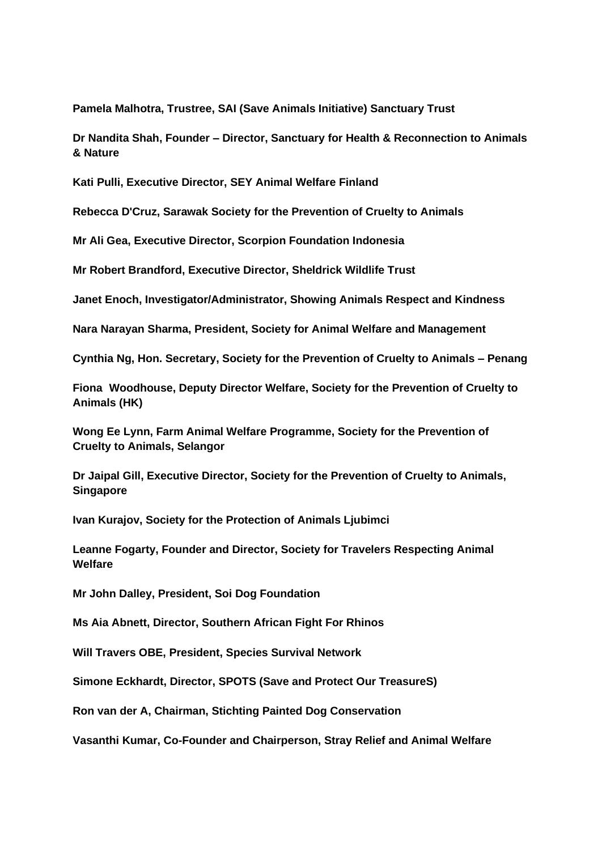**Pamela Malhotra, Trustree, SAI (Save Animals Initiative) Sanctuary Trust**

**Dr Nandita Shah, Founder – Director, Sanctuary for Health & Reconnection to Animals & Nature**

**Kati Pulli, Executive Director, SEY Animal Welfare Finland**

**Rebecca D'Cruz, Sarawak Society for the Prevention of Cruelty to Animals**

**Mr Ali Gea, Executive Director, Scorpion Foundation Indonesia**

**Mr Robert Brandford, Executive Director, Sheldrick Wildlife Trust**

**Janet Enoch, Investigator/Administrator, Showing Animals Respect and Kindness**

**Nara Narayan Sharma, President, Society for Animal Welfare and Management**

**Cynthia Ng, Hon. Secretary, Society for the Prevention of Cruelty to Animals – Penang**

**Fiona Woodhouse, Deputy Director Welfare, Society for the Prevention of Cruelty to Animals (HK)**

**Wong Ee Lynn, Farm Animal Welfare Programme, Society for the Prevention of Cruelty to Animals, Selangor**

**Dr Jaipal Gill, Executive Director, Society for the Prevention of Cruelty to Animals, Singapore**

**Ivan Kurajov, Society for the Protection of Animals Ljubimci**

**Leanne Fogarty, Founder and Director, Society for Travelers Respecting Animal Welfare**

**Mr John Dalley, President, Soi Dog Foundation**

**Ms Aia Abnett, Director, Southern African Fight For Rhinos**

**Will Travers OBE, President, Species Survival Network**

**Simone Eckhardt, Director, SPOTS (Save and Protect Our TreasureS)**

**Ron van der A, Chairman, Stichting Painted Dog Conservation**

**Vasanthi Kumar, Co-Founder and Chairperson, Stray Relief and Animal Welfare**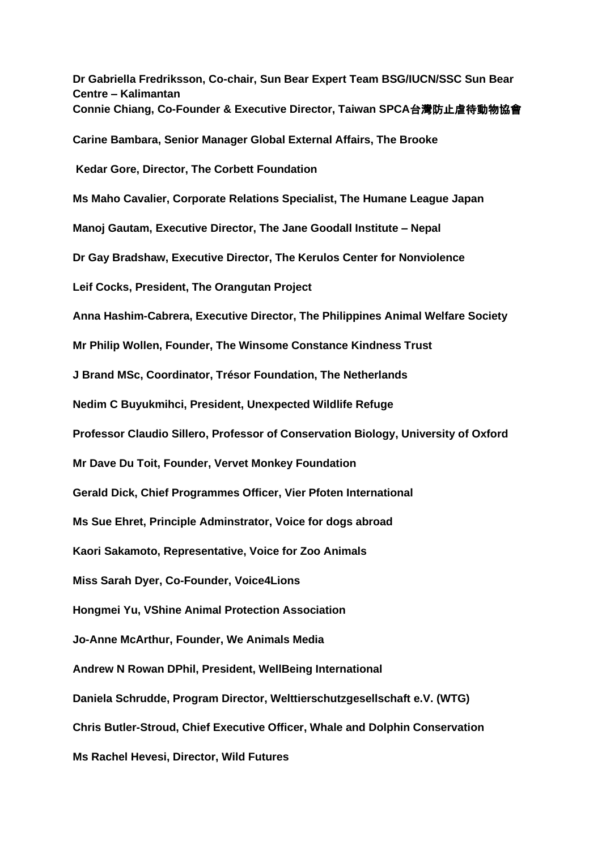**Dr Gabriella Fredriksson, Co-chair, Sun Bear Expert Team BSG/IUCN/SSC Sun Bear Centre – Kalimantan Connie Chiang, Co-Founder & Executive Director, Taiwan SPCA**台灣防止虐待動物協會 **Carine Bambara, Senior Manager Global External Affairs, The Brooke Kedar Gore, Director, The Corbett Foundation Ms Maho Cavalier, Corporate Relations Specialist, The Humane League Japan Manoj Gautam, Executive Director, The Jane Goodall Institute – Nepal Dr Gay Bradshaw, Executive Director, The Kerulos Center for Nonviolence Leif Cocks, President, The Orangutan Project Anna Hashim-Cabrera, Executive Director, The Philippines Animal Welfare Society Mr Philip Wollen, Founder, The Winsome Constance Kindness Trust J Brand MSc, Coordinator, Trésor Foundation, The Netherlands Nedim C Buyukmihci, President, Unexpected Wildlife Refuge Professor Claudio Sillero, Professor of Conservation Biology, University of Oxford Mr Dave Du Toit, Founder, Vervet Monkey Foundation Gerald Dick, Chief Programmes Officer, Vier Pfoten International Ms Sue Ehret, Principle Adminstrator, Voice for dogs abroad Kaori Sakamoto, Representative, Voice for Zoo Animals Miss Sarah Dyer, Co-Founder, Voice4Lions Hongmei Yu, VShine Animal Protection Association Jo-Anne McArthur, Founder, We Animals Media Andrew N Rowan DPhil, President, WellBeing International Daniela Schrudde, Program Director, Welttierschutzgesellschaft e.V. (WTG) Chris Butler-Stroud, Chief Executive Officer, Whale and Dolphin Conservation Ms Rachel Hevesi, Director, Wild Futures**